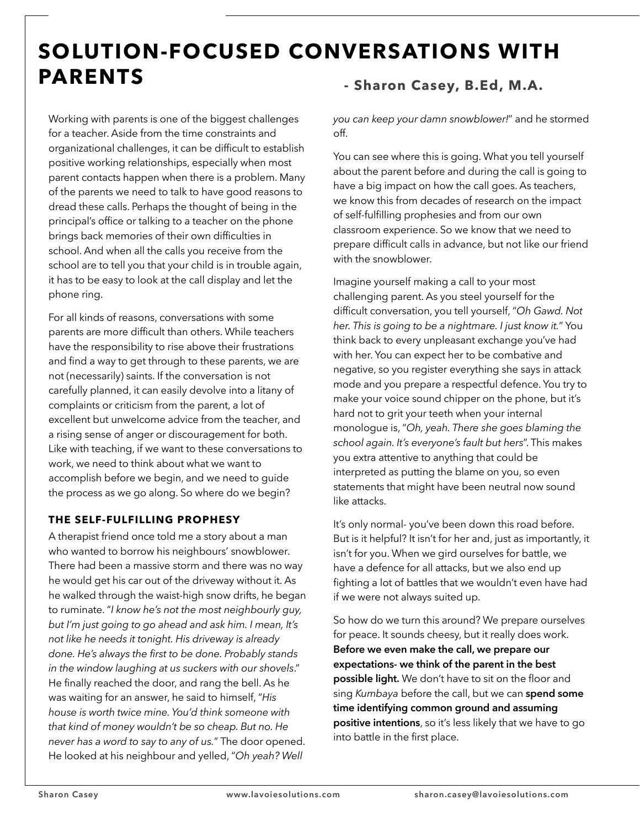# **SOLUTION-FOCUSED CONVERSATIONS WITH PARENTS**

Working with parents is one of the biggest challenges for a teacher. Aside from the time constraints and organizational challenges, it can be difficult to establish positive working relationships, especially when most parent contacts happen when there is a problem. Many of the parents we need to talk to have good reasons to dread these calls. Perhaps the thought of being in the principal's office or talking to a teacher on the phone brings back memories of their own difficulties in school. And when all the calls you receive from the school are to tell you that your child is in trouble again, it has to be easy to look at the call display and let the phone ring.

For all kinds of reasons, conversations with some parents are more difficult than others. While teachers have the responsibility to rise above their frustrations and find a way to get through to these parents, we are not (necessarily) saints. If the conversation is not carefully planned, it can easily devolve into a litany of complaints or criticism from the parent, a lot of excellent but unwelcome advice from the teacher, and a rising sense of anger or discouragement for both. Like with teaching, if we want to these conversations to work, we need to think about what we want to accomplish before we begin, and we need to guide the process as we go along. So where do we begin?

# **THE SELF-FULFILLING PROPHESY**

A therapist friend once told me a story about a man who wanted to borrow his neighbours' snowblower. There had been a massive storm and there was no way he would get his car out of the driveway without it. As he walked through the waist-high snow drifts, he began to ruminate. "*I know he's not the most neighbourly guy, but I'm just going to go ahead and ask him. I mean, It's not like he needs it tonight. His driveway is already done. He's always the first to be done. Probably stands in the window laughing at us suckers with our shovels*." He finally reached the door, and rang the bell. As he was waiting for an answer, he said to himself, "*His house is worth twice mine. You'd think someone with that kind of money wouldn't be so cheap. But no. He never has a word to say to any of us.*" The door opened. He looked at his neighbour and yelled, "*Oh yeah? Well* 

# **- Sharon Casey, B.Ed, M.A.**

*you can keep your damn snowblower!*" and he stormed off.

You can see where this is going. What you tell yourself about the parent before and during the call is going to have a big impact on how the call goes. As teachers, we know this from decades of research on the impact of self-fulfilling prophesies and from our own classroom experience. So we know that we need to prepare difficult calls in advance, but not like our friend with the snowblower.

Imagine yourself making a call to your most challenging parent. As you steel yourself for the difficult conversation, you tell yourself, "*Oh Gawd. Not her. This is going to be a nightmare. I just know it.*" You think back to every unpleasant exchange you've had with her. You can expect her to be combative and negative, so you register everything she says in attack mode and you prepare a respectful defence. You try to make your voice sound chipper on the phone, but it's hard not to grit your teeth when your internal monologue is, "*Oh, yeah. There she goes blaming the school again. It's everyone's fault but hers*". This makes you extra attentive to anything that could be interpreted as putting the blame on you, so even statements that might have been neutral now sound like attacks.

It's only normal- you've been down this road before. But is it helpful? It isn't for her and, just as importantly, it isn't for you. When we gird ourselves for battle, we have a defence for all attacks, but we also end up fighting a lot of battles that we wouldn't even have had if we were not always suited up.

So how do we turn this around? We prepare ourselves for peace. It sounds cheesy, but it really does work. **Before we even make the call, we prepare our expectations- we think of the parent in the best possible light.** We don't have to sit on the floor and sing *Kumbaya* before the call, but we can **spend some time identifying common ground and assuming positive intentions**, so it's less likely that we have to go into battle in the first place.